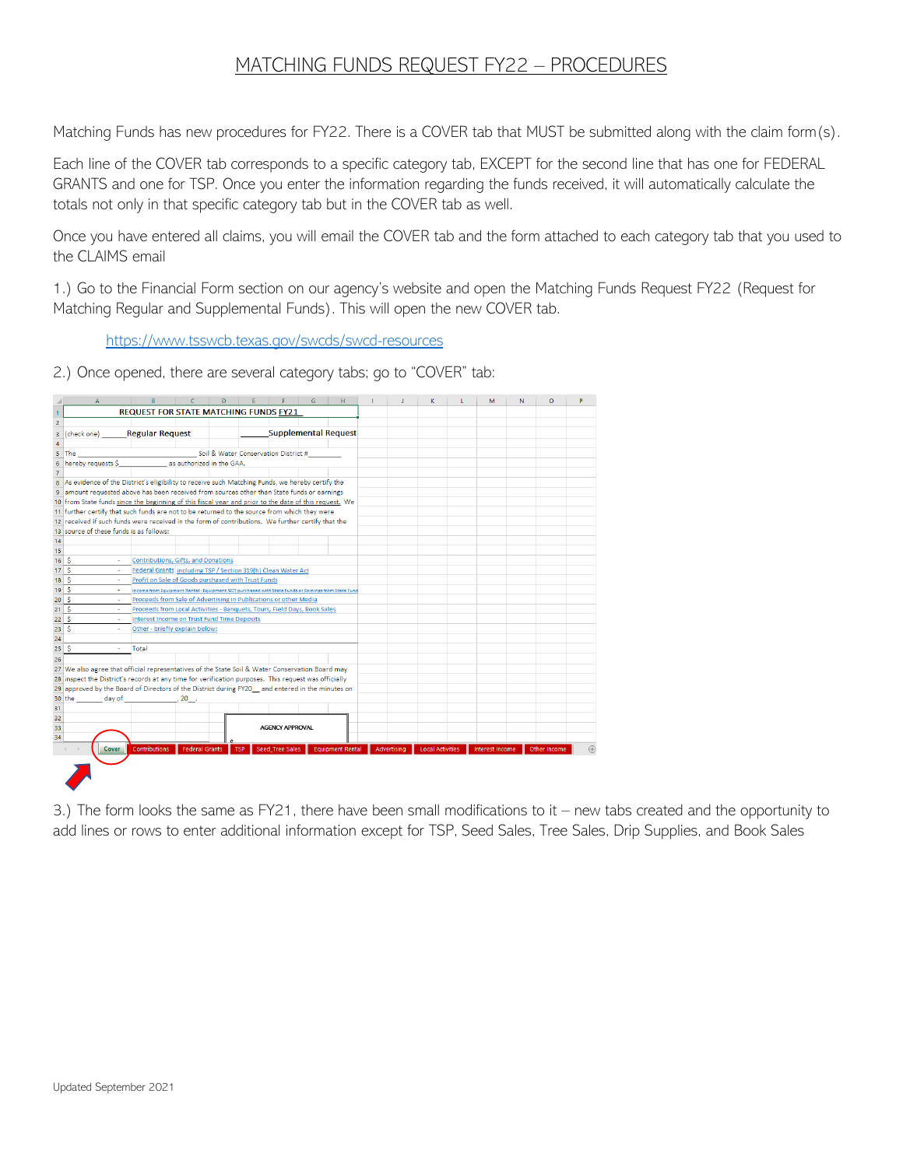## MATCHING FUNDS REQUEST FY22 – PROCEDURES

Matching Funds has new procedures for FY22. There is a COVER tab that MUST be submitted along with the claim form(s).

Each line of the COVER tab corresponds to a specific category tab, EXCEPT for the second line that has one for FEDERAL GRANTS and one for TSP. Once you enter the information regarding the funds received, it will automatically calculate the totals not only in that specific category tab but in the COVER tab as well.

Once you have entered all claims, you will email the COVER tab and the form attached to each category tab that you used to the CLAIMS email

1.) Go to the Financial Form section on our agency's website and open the Matching Funds Request FY22 (Request for Matching Regular and Supplemental Funds). This will open the new COVER tab.

<https://www.tsswcb.texas.gov/swcds/swcd-resources>

2.) Once opened, there are several category tabs; go to "COVER" tab:

|                               | $\Delta$                                                                                              |                                                                                                     |                           | D                                    |                        | G                           | H                       | $\mathbf{I}$ | K                       | г | M                      | N | $\circ$      |  |
|-------------------------------|-------------------------------------------------------------------------------------------------------|-----------------------------------------------------------------------------------------------------|---------------------------|--------------------------------------|------------------------|-----------------------------|-------------------------|--------------|-------------------------|---|------------------------|---|--------------|--|
| 1                             |                                                                                                       | <b>REQUEST FOR STATE MATCHING FUNDS FY21</b>                                                        |                           |                                      |                        |                             |                         |              |                         |   |                        |   |              |  |
| $\overline{2}$                |                                                                                                       |                                                                                                     |                           |                                      |                        |                             |                         |              |                         |   |                        |   |              |  |
| 3                             | (check one)                                                                                           | <b>Regular Request</b>                                                                              |                           |                                      |                        | <b>Supplemental Request</b> |                         |              |                         |   |                        |   |              |  |
| $\overline{4}$                |                                                                                                       |                                                                                                     |                           |                                      |                        |                             |                         |              |                         |   |                        |   |              |  |
| 5                             | The                                                                                                   |                                                                                                     |                           | Soil & Water Conservation District # |                        |                             |                         |              |                         |   |                        |   |              |  |
| 6                             | hereby requests \$                                                                                    |                                                                                                     | as authorized in the GAA. |                                      |                        |                             |                         |              |                         |   |                        |   |              |  |
| $\overline{7}$                |                                                                                                       |                                                                                                     |                           |                                      |                        |                             |                         |              |                         |   |                        |   |              |  |
| 8                             | As evidence of the District's eligibility to receive such Matching Funds, we hereby certify the       |                                                                                                     |                           |                                      |                        |                             |                         |              |                         |   |                        |   |              |  |
| 9                             | amount requested above has been received from sources other than State funds or earnings              |                                                                                                     |                           |                                      |                        |                             |                         |              |                         |   |                        |   |              |  |
|                               | 10 from State funds since the beginning of this fiscal year and prior to the date of this request. We |                                                                                                     |                           |                                      |                        |                             |                         |              |                         |   |                        |   |              |  |
|                               | 11 further certify that such funds are not to be returned to the source from which they were          |                                                                                                     |                           |                                      |                        |                             |                         |              |                         |   |                        |   |              |  |
|                               | 12 received if such funds were received in the form of contributions. We further certify that the     |                                                                                                     |                           |                                      |                        |                             |                         |              |                         |   |                        |   |              |  |
|                               | 13 source of these funds is as follows:                                                               |                                                                                                     |                           |                                      |                        |                             |                         |              |                         |   |                        |   |              |  |
| 14                            |                                                                                                       |                                                                                                     |                           |                                      |                        |                             |                         |              |                         |   |                        |   |              |  |
| 15                            |                                                                                                       |                                                                                                     |                           |                                      |                        |                             |                         |              |                         |   |                        |   |              |  |
| 16                            | -Ŝ                                                                                                    | Contributions, Gifts, and Donations                                                                 |                           |                                      |                        |                             |                         |              |                         |   |                        |   |              |  |
| 17S                           |                                                                                                       | Federal Grants including TSP / Section 319(h) Clean Water Act                                       |                           |                                      |                        |                             |                         |              |                         |   |                        |   |              |  |
| 18                            | -Ś                                                                                                    | Profit on Sale of Goods purchased with Trust Funds                                                  |                           |                                      |                        |                             |                         |              |                         |   |                        |   |              |  |
| 19                            | ۱Ś<br>×.                                                                                              | Income from Equipment Rental - Equipment NOT purchased with State Funds or Earnings from State Fund |                           |                                      |                        |                             |                         |              |                         |   |                        |   |              |  |
| 20 <sup>1</sup>               | ۱Ś<br>$\sim$                                                                                          | Proceeds from Sale of Advertising in Publications or other Media                                    |                           |                                      |                        |                             |                         |              |                         |   |                        |   |              |  |
| 21                            | -Ś                                                                                                    | Proceeds from Local Activities - Banquets, Tours, Field Days, Book Sales                            |                           |                                      |                        |                             |                         |              |                         |   |                        |   |              |  |
| 22                            | -Ś<br>÷.                                                                                              | <b>Interest Income on Trust Fund Time Deposits</b>                                                  |                           |                                      |                        |                             |                         |              |                         |   |                        |   |              |  |
| 23                            | ۱Ś<br>٠                                                                                               | Other - briefly explain below:                                                                      |                           |                                      |                        |                             |                         |              |                         |   |                        |   |              |  |
| 24                            |                                                                                                       |                                                                                                     |                           |                                      |                        |                             |                         |              |                         |   |                        |   |              |  |
| $25$ $\overline{\phantom{0}}$ | $\sim$                                                                                                | Total                                                                                               |                           |                                      |                        |                             |                         |              |                         |   |                        |   |              |  |
| 26                            |                                                                                                       |                                                                                                     |                           |                                      |                        |                             |                         |              |                         |   |                        |   |              |  |
|                               | 27 We also agree that official representatives of the State Soil & Water Conservation Board may       |                                                                                                     |                           |                                      |                        |                             |                         |              |                         |   |                        |   |              |  |
|                               | 28 inspect the District's records at any time for verification purposes. This request was officially  |                                                                                                     |                           |                                      |                        |                             |                         |              |                         |   |                        |   |              |  |
|                               | 29 approved by the Board of Directors of the District during FY20 and entered in the minutes on       |                                                                                                     |                           |                                      |                        |                             |                         |              |                         |   |                        |   |              |  |
|                               | day of<br>$30$ the                                                                                    |                                                                                                     | $20$ .                    |                                      |                        |                             |                         |              |                         |   |                        |   |              |  |
| 31                            |                                                                                                       |                                                                                                     |                           |                                      |                        |                             |                         |              |                         |   |                        |   |              |  |
| 32                            |                                                                                                       |                                                                                                     |                           |                                      |                        |                             |                         |              |                         |   |                        |   |              |  |
| 33                            |                                                                                                       |                                                                                                     |                           |                                      | <b>AGENCY APPROVAL</b> |                             |                         |              |                         |   |                        |   |              |  |
| 34                            |                                                                                                       |                                                                                                     |                           |                                      |                        |                             |                         |              |                         |   |                        |   |              |  |
|                               | Cover                                                                                                 | Contributions                                                                                       | <b>Federal Grants</b>     |                                      | <b>Seed Tree Sales</b> |                             | <b>Equipment Rental</b> | Advertising  | <b>Local Activities</b> |   | <b>Interest Income</b> |   | Other Income |  |
|                               |                                                                                                       |                                                                                                     |                           |                                      |                        |                             |                         |              |                         |   |                        |   |              |  |
|                               |                                                                                                       |                                                                                                     |                           |                                      |                        |                             |                         |              |                         |   |                        |   |              |  |
|                               |                                                                                                       |                                                                                                     |                           |                                      |                        |                             |                         |              |                         |   |                        |   |              |  |
|                               |                                                                                                       |                                                                                                     |                           |                                      |                        |                             |                         |              |                         |   |                        |   |              |  |

3.) The form looks the same as FY21, there have been small modifications to it – new tabs created and the opportunity to add lines or rows to enter additional information except for TSP, Seed Sales, Tree Sales, Drip Supplies, and Book Sales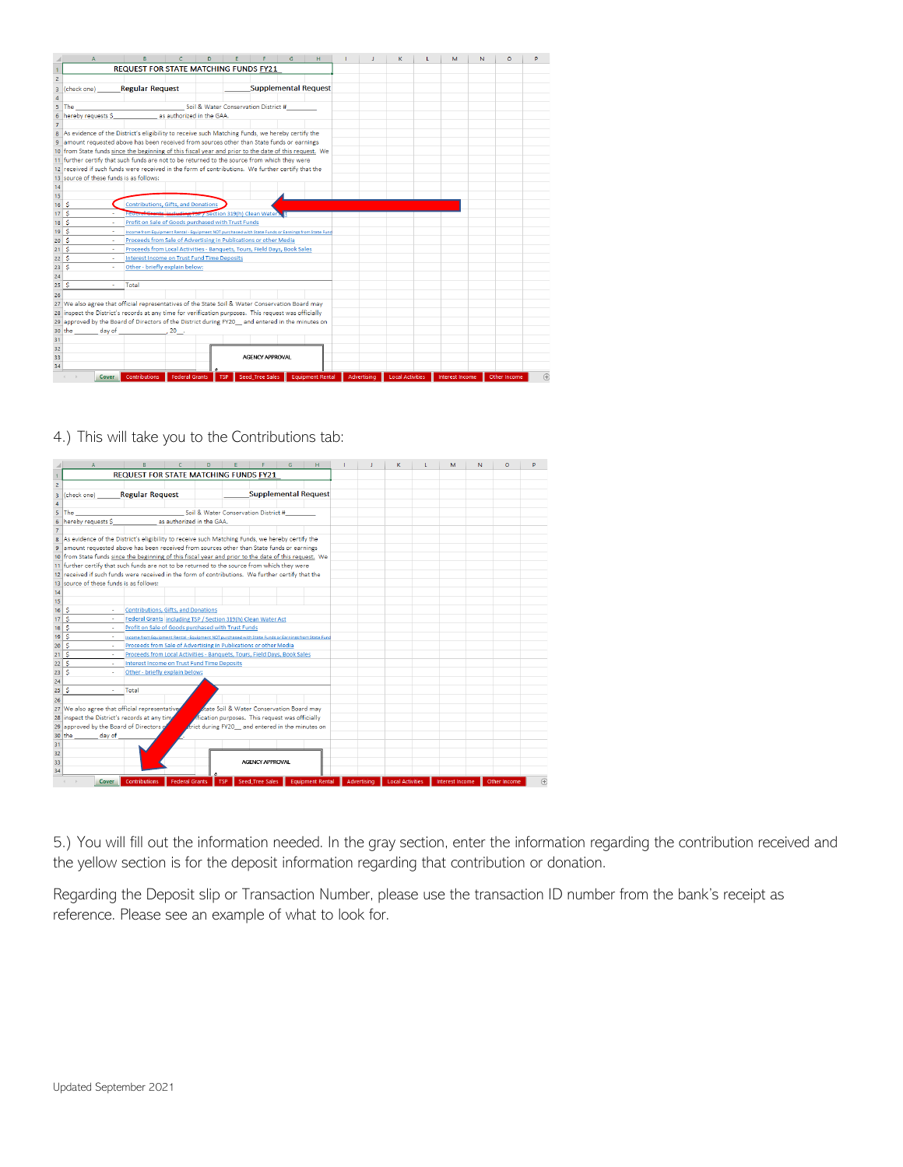|                 |                                                                                                       |                                                                                                     |                                                                                                                 | D.         |  |                                      |  |                         |  |             |                         |  | м                      | N | $\Omega$     | D   |
|-----------------|-------------------------------------------------------------------------------------------------------|-----------------------------------------------------------------------------------------------------|-----------------------------------------------------------------------------------------------------------------|------------|--|--------------------------------------|--|-------------------------|--|-------------|-------------------------|--|------------------------|---|--------------|-----|
| $\mathbf{1}$    |                                                                                                       | <b>REQUEST FOR STATE MATCHING FUNDS FY21</b>                                                        |                                                                                                                 |            |  |                                      |  |                         |  |             |                         |  |                        |   |              |     |
| $\overline{2}$  |                                                                                                       |                                                                                                     |                                                                                                                 |            |  |                                      |  |                         |  |             |                         |  |                        |   |              |     |
| 3               | (check one)                                                                                           | <b>Regular Request</b>                                                                              |                                                                                                                 |            |  | <b>Supplemental Request</b>          |  |                         |  |             |                         |  |                        |   |              |     |
| 4               |                                                                                                       |                                                                                                     |                                                                                                                 |            |  |                                      |  |                         |  |             |                         |  |                        |   |              |     |
| 5               | <b>The</b>                                                                                            |                                                                                                     |                                                                                                                 |            |  | Soil & Water Conservation District # |  |                         |  |             |                         |  |                        |   |              |     |
| 6               | hereby requests \$                                                                                    |                                                                                                     | as authorized in the GAA.                                                                                       |            |  |                                      |  |                         |  |             |                         |  |                        |   |              |     |
| $\overline{7}$  |                                                                                                       |                                                                                                     |                                                                                                                 |            |  |                                      |  |                         |  |             |                         |  |                        |   |              |     |
| 8               | As evidence of the District's eligibility to receive such Matching Funds, we hereby certify the       |                                                                                                     |                                                                                                                 |            |  |                                      |  |                         |  |             |                         |  |                        |   |              |     |
|                 | 9 amount requested above has been received from sources other than State funds or earnings            |                                                                                                     |                                                                                                                 |            |  |                                      |  |                         |  |             |                         |  |                        |   |              |     |
|                 | 10 from State funds since the beginning of this fiscal year and prior to the date of this request. We |                                                                                                     |                                                                                                                 |            |  |                                      |  |                         |  |             |                         |  |                        |   |              |     |
|                 | 11 further certify that such funds are not to be returned to the source from which they were          |                                                                                                     |                                                                                                                 |            |  |                                      |  |                         |  |             |                         |  |                        |   |              |     |
|                 | 12 received if such funds were received in the form of contributions. We further certify that the     |                                                                                                     |                                                                                                                 |            |  |                                      |  |                         |  |             |                         |  |                        |   |              |     |
|                 | 13 source of these funds is as follows:                                                               |                                                                                                     |                                                                                                                 |            |  |                                      |  |                         |  |             |                         |  |                        |   |              |     |
| 14              |                                                                                                       |                                                                                                     |                                                                                                                 |            |  |                                      |  |                         |  |             |                         |  |                        |   |              |     |
| 15              |                                                                                                       |                                                                                                     |                                                                                                                 |            |  |                                      |  |                         |  |             |                         |  |                        |   |              |     |
| 16              | Ŝ                                                                                                     | Contributions, Gifts, and Donations                                                                 |                                                                                                                 |            |  |                                      |  |                         |  |             |                         |  |                        |   |              |     |
| 17 <sup>5</sup> |                                                                                                       |                                                                                                     | Federal Grants including TSP / Section 319(h) Clean Water<br>Profit on Sale of Goods purchased with Trust Funds |            |  |                                      |  |                         |  |             |                         |  |                        |   |              |     |
| 18              | Ś                                                                                                     |                                                                                                     |                                                                                                                 |            |  |                                      |  |                         |  |             |                         |  |                        |   |              |     |
| 19              | Ś                                                                                                     | Income from Equipment Rental - Equipment NOT purchased with State Funds or Earnings from State Fund |                                                                                                                 |            |  |                                      |  |                         |  |             |                         |  |                        |   |              |     |
| 20              | Ś                                                                                                     | Proceeds from Sale of Advertising in Publications or other Media                                    |                                                                                                                 |            |  |                                      |  |                         |  |             |                         |  |                        |   |              |     |
| 21              | -Ś                                                                                                    | Proceeds from Local Activities - Banquets, Tours, Field Days, Book Sales                            |                                                                                                                 |            |  |                                      |  |                         |  |             |                         |  |                        |   |              |     |
| 22              | <b>S</b>                                                                                              | <b>Interest Income on Trust Fund Time Deposits</b>                                                  |                                                                                                                 |            |  |                                      |  |                         |  |             |                         |  |                        |   |              |     |
| 23              | Ŝ                                                                                                     | Other - briefly explain below:                                                                      |                                                                                                                 |            |  |                                      |  |                         |  |             |                         |  |                        |   |              |     |
| 24              |                                                                                                       |                                                                                                     |                                                                                                                 |            |  |                                      |  |                         |  |             |                         |  |                        |   |              |     |
| 25              | l s                                                                                                   | Total                                                                                               |                                                                                                                 |            |  |                                      |  |                         |  |             |                         |  |                        |   |              |     |
| 26              |                                                                                                       |                                                                                                     |                                                                                                                 |            |  |                                      |  |                         |  |             |                         |  |                        |   |              |     |
|                 | 27 We also agree that official representatives of the State Soil & Water Conservation Board may       |                                                                                                     |                                                                                                                 |            |  |                                      |  |                         |  |             |                         |  |                        |   |              |     |
|                 | 28 inspect the District's records at any time for verification purposes. This request was officially  |                                                                                                     |                                                                                                                 |            |  |                                      |  |                         |  |             |                         |  |                        |   |              |     |
|                 | 29 approved by the Board of Directors of the District during FY20 and entered in the minutes on       |                                                                                                     |                                                                                                                 |            |  |                                      |  |                         |  |             |                         |  |                        |   |              |     |
|                 | day of<br>30 the                                                                                      |                                                                                                     | $20$ .                                                                                                          |            |  |                                      |  |                         |  |             |                         |  |                        |   |              |     |
| 31              |                                                                                                       |                                                                                                     |                                                                                                                 |            |  |                                      |  |                         |  |             |                         |  |                        |   |              |     |
| 32              |                                                                                                       |                                                                                                     |                                                                                                                 |            |  |                                      |  |                         |  |             |                         |  |                        |   |              |     |
| 33              |                                                                                                       |                                                                                                     |                                                                                                                 |            |  | <b>AGENCY APPROVAL</b>               |  |                         |  |             |                         |  |                        |   |              |     |
| 34              |                                                                                                       |                                                                                                     |                                                                                                                 |            |  |                                      |  |                         |  |             |                         |  |                        |   |              |     |
|                 | Cover                                                                                                 | <b>Contributions</b>                                                                                | <b>Federal Grants</b>                                                                                           | <b>TSP</b> |  | <b>Seed Tree Sales</b>               |  | <b>Equipment Rental</b> |  | Advertising | <b>Local Activities</b> |  | <b>Interest Income</b> |   | Other Income | (F) |

## 4.) This will take you to the Contributions tab:

|                         |                                                                                                       |                                                                                                     |                           |                                                 |  |                        | G                                        | н                           |             | K.                      | г | M                      | N | $\circ$      | D |
|-------------------------|-------------------------------------------------------------------------------------------------------|-----------------------------------------------------------------------------------------------------|---------------------------|-------------------------------------------------|--|------------------------|------------------------------------------|-----------------------------|-------------|-------------------------|---|------------------------|---|--------------|---|
| $\mathbf{1}$            |                                                                                                       | <b>REQUEST FOR STATE MATCHING FUNDS FY21</b>                                                        |                           |                                                 |  |                        |                                          |                             |             |                         |   |                        |   |              |   |
| $\overline{2}$          |                                                                                                       |                                                                                                     |                           |                                                 |  |                        |                                          |                             |             |                         |   |                        |   |              |   |
| s.                      | (check one)                                                                                           | <b>Regular Request</b>                                                                              |                           |                                                 |  |                        |                                          | <b>Supplemental Request</b> |             |                         |   |                        |   |              |   |
| $\overline{4}$          |                                                                                                       |                                                                                                     |                           |                                                 |  |                        |                                          |                             |             |                         |   |                        |   |              |   |
| $\overline{\mathbf{s}}$ | The                                                                                                   |                                                                                                     |                           | Soil & Water Conservation District #            |  |                        |                                          |                             |             |                         |   |                        |   |              |   |
| 6                       | hereby requests \$                                                                                    |                                                                                                     | as authorized in the GAA. |                                                 |  |                        |                                          |                             |             |                         |   |                        |   |              |   |
| $\overline{7}$          |                                                                                                       |                                                                                                     |                           |                                                 |  |                        |                                          |                             |             |                         |   |                        |   |              |   |
| 8                       | As evidence of the District's eligibility to receive such Matching Funds, we hereby certify the       |                                                                                                     |                           |                                                 |  |                        |                                          |                             |             |                         |   |                        |   |              |   |
|                         | 9 amount requested above has been received from sources other than State funds or earnings            |                                                                                                     |                           |                                                 |  |                        |                                          |                             |             |                         |   |                        |   |              |   |
|                         | 10 from State funds since the beginning of this fiscal year and prior to the date of this request. We |                                                                                                     |                           |                                                 |  |                        |                                          |                             |             |                         |   |                        |   |              |   |
|                         | 11 further certify that such funds are not to be returned to the source from which they were          |                                                                                                     |                           |                                                 |  |                        |                                          |                             |             |                         |   |                        |   |              |   |
|                         | 12 received if such funds were received in the form of contributions. We further certify that the     |                                                                                                     |                           |                                                 |  |                        |                                          |                             |             |                         |   |                        |   |              |   |
|                         | 13 source of these funds is as follows:                                                               |                                                                                                     |                           |                                                 |  |                        |                                          |                             |             |                         |   |                        |   |              |   |
| $\frac{14}{1}$          |                                                                                                       |                                                                                                     |                           |                                                 |  |                        |                                          |                             |             |                         |   |                        |   |              |   |
| 15                      |                                                                                                       |                                                                                                     |                           |                                                 |  |                        |                                          |                             |             |                         |   |                        |   |              |   |
| 16                      | Ś.                                                                                                    | Contributions, Gifts, and Donations                                                                 |                           |                                                 |  |                        |                                          |                             |             |                         |   |                        |   |              |   |
| 17                      | 'Ŝ                                                                                                    | Federal Grants including TSP / Section 319(h) Clean Water Act                                       |                           |                                                 |  |                        |                                          |                             |             |                         |   |                        |   |              |   |
| 18                      | Š                                                                                                     | Profit on Sale of Goods purchased with Trust Funds                                                  |                           |                                                 |  |                        |                                          |                             |             |                         |   |                        |   |              |   |
| 19                      | Ś                                                                                                     | Income from Equipment Rental - Equipment NOT purchased with State Funds or Earnings from State Fund |                           |                                                 |  |                        |                                          |                             |             |                         |   |                        |   |              |   |
| 20                      | Ŝ                                                                                                     | Proceeds from Sale of Advertising in Publications or other Media                                    |                           |                                                 |  |                        |                                          |                             |             |                         |   |                        |   |              |   |
| 21                      | Ś                                                                                                     | Proceeds from Local Activities - Banquets, Tours, Field Days, Book Sales                            |                           |                                                 |  |                        |                                          |                             |             |                         |   |                        |   |              |   |
| 22                      | Ś<br>٠                                                                                                | Interest Income on Trust Fund Time Deposits                                                         |                           |                                                 |  |                        |                                          |                             |             |                         |   |                        |   |              |   |
| 23                      | ś<br>$\sim$                                                                                           | Other - briefly explain below:                                                                      |                           |                                                 |  |                        |                                          |                             |             |                         |   |                        |   |              |   |
| 24                      |                                                                                                       |                                                                                                     |                           |                                                 |  |                        |                                          |                             |             |                         |   |                        |   |              |   |
| 25                      | l s<br>×.                                                                                             | Total                                                                                               |                           |                                                 |  |                        |                                          |                             |             |                         |   |                        |   |              |   |
| 26                      |                                                                                                       |                                                                                                     |                           |                                                 |  |                        |                                          |                             |             |                         |   |                        |   |              |   |
|                         | 27 We also agree that official representative                                                         |                                                                                                     |                           |                                                 |  |                        | tate Soil & Water Conservation Board may |                             |             |                         |   |                        |   |              |   |
|                         | 28 inspect the District's records at any time                                                         |                                                                                                     |                           | Afication purposes. This request was officially |  |                        |                                          |                             |             |                         |   |                        |   |              |   |
|                         | 29 approved by the Board of Directors of                                                              |                                                                                                     |                           | trict during FY20 and entered in the minutes on |  |                        |                                          |                             |             |                         |   |                        |   |              |   |
|                         | 30 the day of                                                                                         |                                                                                                     |                           |                                                 |  |                        |                                          |                             |             |                         |   |                        |   |              |   |
| 31                      |                                                                                                       |                                                                                                     |                           |                                                 |  |                        |                                          |                             |             |                         |   |                        |   |              |   |
| 32                      |                                                                                                       |                                                                                                     |                           |                                                 |  |                        |                                          |                             |             |                         |   |                        |   |              |   |
| 33                      |                                                                                                       |                                                                                                     |                           |                                                 |  | <b>AGENCY APPROVAL</b> |                                          |                             |             |                         |   |                        |   |              |   |
| 34                      |                                                                                                       |                                                                                                     |                           |                                                 |  |                        |                                          |                             |             |                         |   |                        |   |              |   |
|                         | Cover                                                                                                 | Contributions                                                                                       | <b>Federal Grants</b>     | <b>TSP</b>                                      |  | <b>Seed Tree Sales</b> |                                          | <b>Equipment Rental</b>     | Advertising | <b>Local Activities</b> |   | <b>Interest Income</b> |   | Other Income |   |

5.) You will fill out the information needed. In the gray section, enter the information regarding the contribution received and the yellow section is for the deposit information regarding that contribution or donation.

Regarding the Deposit slip or Transaction Number, please use the transaction ID number from the bank's receipt as reference. Please see an example of what to look for.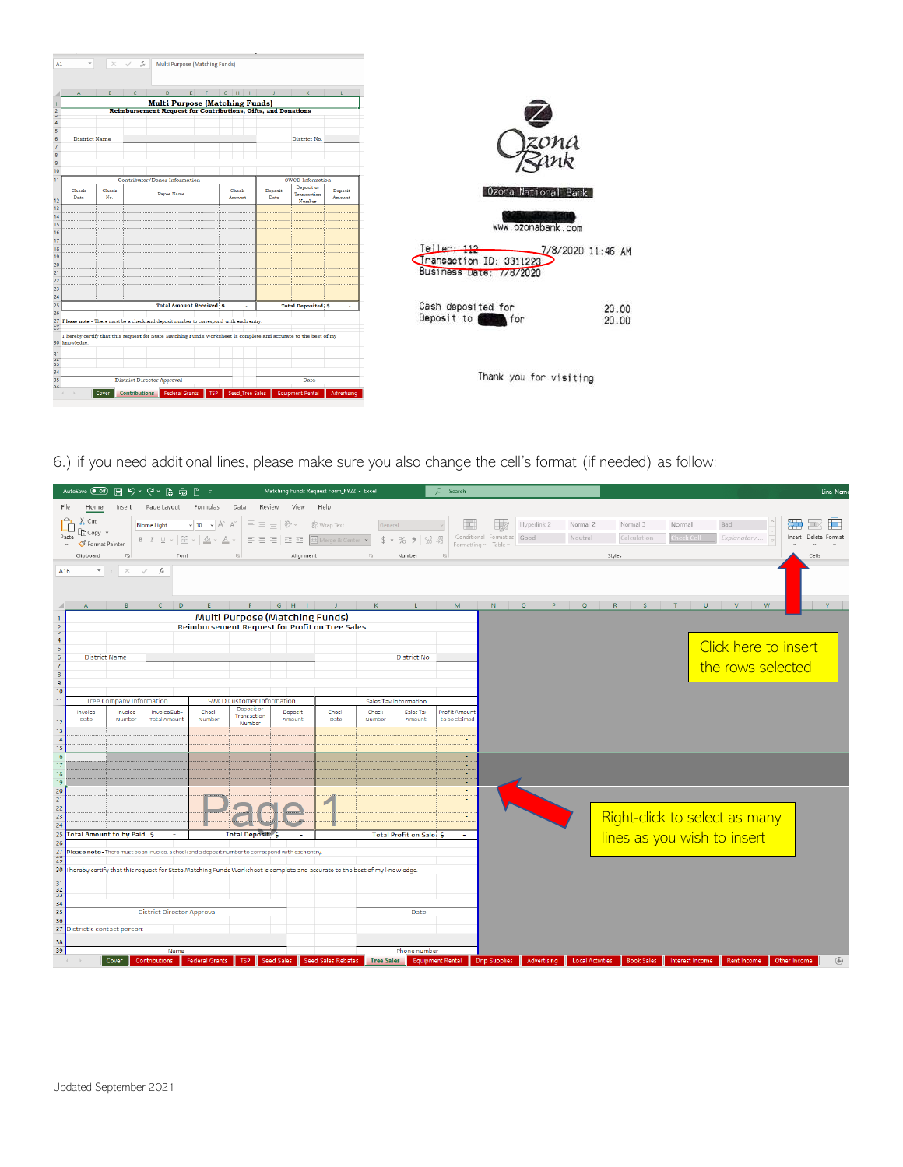| A1                                                                                   | $\checkmark$ fx<br>$\times$                                                                                      | Multi Purpose (Matching Funds)                                |                                  |                                       |                 |                            |                    |                                                  |
|--------------------------------------------------------------------------------------|------------------------------------------------------------------------------------------------------------------|---------------------------------------------------------------|----------------------------------|---------------------------------------|-----------------|----------------------------|--------------------|--------------------------------------------------|
|                                                                                      | <b>C</b>                                                                                                         | D                                                             | E<br>- F                         | $G$ $H$ $1$                           |                 | K                          |                    |                                                  |
|                                                                                      |                                                                                                                  |                                                               |                                  | <b>Multi Purpose (Matching Funds)</b> |                 |                            |                    |                                                  |
| $\frac{1}{2}$ $\frac{2}{3}$ $\frac{4}{5}$ $\frac{5}{6}$ $\frac{6}{7}$ $\frac{9}{10}$ |                                                                                                                  | Reimbursement Request for Contributions, Gifts, and Donations |                                  |                                       |                 |                            |                    |                                                  |
|                                                                                      |                                                                                                                  |                                                               |                                  |                                       |                 |                            |                    |                                                  |
|                                                                                      |                                                                                                                  |                                                               |                                  |                                       |                 |                            |                    |                                                  |
| <b>District Name</b>                                                                 |                                                                                                                  |                                                               |                                  |                                       |                 | District No.               |                    |                                                  |
|                                                                                      |                                                                                                                  |                                                               |                                  |                                       |                 |                            |                    | zona                                             |
|                                                                                      |                                                                                                                  |                                                               |                                  |                                       |                 |                            |                    |                                                  |
|                                                                                      |                                                                                                                  |                                                               |                                  |                                       |                 |                            |                    |                                                  |
|                                                                                      |                                                                                                                  | Contributor/Donor Information                                 |                                  |                                       |                 | SWCD Information           |                    |                                                  |
| Check<br>Date                                                                        | Check<br>No.                                                                                                     | Payee Name                                                    |                                  | Check<br>Amount                       | Deposit<br>Date | Deposit or<br>Transaction  | Deposit<br>Amount  | 0zona<br>National Bank                           |
|                                                                                      |                                                                                                                  |                                                               |                                  |                                       |                 | Number                     |                    |                                                  |
|                                                                                      |                                                                                                                  |                                                               |                                  |                                       |                 |                            |                    |                                                  |
|                                                                                      |                                                                                                                  |                                                               |                                  |                                       |                 |                            |                    |                                                  |
|                                                                                      |                                                                                                                  |                                                               |                                  |                                       |                 |                            |                    | www.ozonabank.com                                |
|                                                                                      |                                                                                                                  |                                                               |                                  |                                       |                 |                            |                    |                                                  |
|                                                                                      |                                                                                                                  |                                                               |                                  |                                       |                 |                            |                    | $[el]$ ar $\frac{112}{112}$<br>7/8/2020 11:46 AM |
|                                                                                      |                                                                                                                  |                                                               |                                  |                                       |                 |                            |                    | Transaction ID: 3311223                          |
|                                                                                      |                                                                                                                  |                                                               |                                  |                                       |                 |                            |                    | Business Date: 7/8/2020                          |
|                                                                                      |                                                                                                                  |                                                               |                                  |                                       |                 |                            |                    |                                                  |
|                                                                                      |                                                                                                                  |                                                               |                                  |                                       |                 |                            |                    |                                                  |
|                                                                                      |                                                                                                                  |                                                               |                                  |                                       |                 |                            |                    |                                                  |
|                                                                                      |                                                                                                                  |                                                               | <b>Total Amount Received: \$</b> |                                       |                 | <b>Total Deposited: \$</b> |                    | Cash deposited for<br>20.00                      |
|                                                                                      | Please note - There must be a check and deposit number to correspond with each entry.                            |                                                               |                                  |                                       |                 |                            |                    | Deposit to <b>the first</b> for<br>20.00         |
|                                                                                      |                                                                                                                  |                                                               |                                  |                                       |                 |                            |                    |                                                  |
| 30 knowledge.                                                                        | I hereby certify that this request for State Matching Funds Worksheet is complete and accurate to the best of my |                                                               |                                  |                                       |                 |                            |                    |                                                  |
|                                                                                      |                                                                                                                  |                                                               |                                  |                                       |                 |                            |                    |                                                  |
|                                                                                      |                                                                                                                  |                                                               |                                  |                                       |                 |                            |                    |                                                  |
|                                                                                      |                                                                                                                  |                                                               |                                  |                                       |                 |                            |                    |                                                  |
|                                                                                      |                                                                                                                  | <b>District Director Approval</b>                             |                                  |                                       |                 | Date                       |                    | Thank you for visiting                           |
| 35<br>$\overline{36}$                                                                |                                                                                                                  |                                                               |                                  |                                       |                 |                            |                    |                                                  |
| $\sim$                                                                               | <b>Contributions</b><br>Cover                                                                                    | <b>Federal Grants</b>                                         |                                  | <b>Seed Tree Sales</b><br>TSP         |                 | <b>Equipment Rental</b>    | <b>Advertising</b> |                                                  |
|                                                                                      |                                                                                                                  |                                                               |                                  |                                       |                 |                            |                    |                                                  |

6.) if you need additional lines, please make sure you also change the cell's format (if needed) as follow:

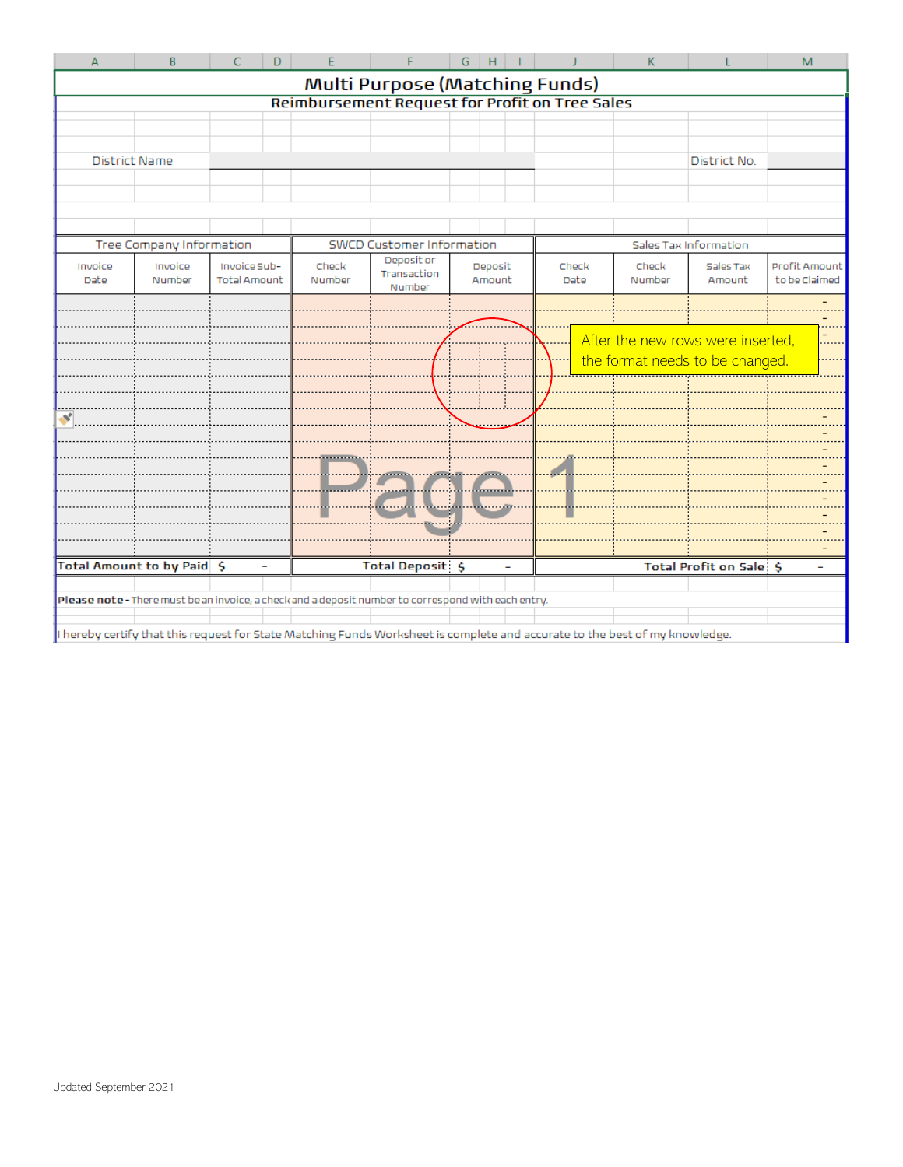| A                          | B                                | Ċ            | D                               | E     |                                                                                                     | G    | H       |        |                                                                                                                             | K     |                                   | M                             |  |  |
|----------------------------|----------------------------------|--------------|---------------------------------|-------|-----------------------------------------------------------------------------------------------------|------|---------|--------|-----------------------------------------------------------------------------------------------------------------------------|-------|-----------------------------------|-------------------------------|--|--|
|                            |                                  |              |                                 |       | Multi Purpose (Matching Funds)                                                                      |      |         |        |                                                                                                                             |       |                                   |                               |  |  |
|                            |                                  |              |                                 |       |                                                                                                     |      |         |        | <b>Reimbursement Request for Profit on Tree Sales</b>                                                                       |       |                                   |                               |  |  |
|                            |                                  |              |                                 |       |                                                                                                     |      |         |        |                                                                                                                             |       |                                   |                               |  |  |
|                            |                                  |              |                                 |       |                                                                                                     |      |         |        |                                                                                                                             |       |                                   |                               |  |  |
| <b>District Name</b>       |                                  |              |                                 |       |                                                                                                     |      |         |        |                                                                                                                             |       | District No.                      |                               |  |  |
|                            |                                  |              |                                 |       |                                                                                                     |      |         |        |                                                                                                                             |       |                                   |                               |  |  |
|                            |                                  |              |                                 |       |                                                                                                     |      |         |        |                                                                                                                             |       |                                   |                               |  |  |
|                            |                                  |              |                                 |       |                                                                                                     |      |         |        |                                                                                                                             |       |                                   |                               |  |  |
|                            | Tree Company Information         |              |                                 |       | SWCD Customer Information                                                                           |      |         |        | Sales Tax Information                                                                                                       |       |                                   |                               |  |  |
| Invoice                    | Invoice                          | Invoice Sub- |                                 | Check | Deposit or                                                                                          |      | Deposit |        | Check                                                                                                                       | Check | Sales Tax                         | Profit Amount                 |  |  |
| Date                       | Number<br>Total Amount<br>Number |              | Transaction<br>Amount<br>Number |       |                                                                                                     | Date | Number  | Amount | to be Claimed                                                                                                               |       |                                   |                               |  |  |
|                            |                                  |              |                                 |       |                                                                                                     |      |         |        |                                                                                                                             |       |                                   |                               |  |  |
|                            |                                  |              |                                 |       |                                                                                                     |      |         |        |                                                                                                                             |       |                                   |                               |  |  |
|                            |                                  |              |                                 |       |                                                                                                     |      |         |        |                                                                                                                             |       | After the new rows were inserted, | $\overline{\phantom{0}}$<br>. |  |  |
|                            |                                  |              |                                 |       |                                                                                                     |      |         |        |                                                                                                                             |       | the format needs to be changed.   |                               |  |  |
|                            |                                  |              |                                 |       |                                                                                                     |      |         |        |                                                                                                                             |       |                                   |                               |  |  |
|                            |                                  |              |                                 |       |                                                                                                     |      |         |        |                                                                                                                             |       |                                   |                               |  |  |
| ×                          |                                  |              |                                 |       |                                                                                                     |      |         |        |                                                                                                                             |       |                                   |                               |  |  |
|                            |                                  |              |                                 |       |                                                                                                     |      |         |        |                                                                                                                             |       |                                   |                               |  |  |
|                            |                                  |              |                                 |       |                                                                                                     |      |         |        |                                                                                                                             |       |                                   |                               |  |  |
|                            |                                  |              |                                 |       |                                                                                                     |      |         |        |                                                                                                                             |       |                                   |                               |  |  |
|                            |                                  |              |                                 |       |                                                                                                     |      |         |        |                                                                                                                             |       |                                   |                               |  |  |
|                            |                                  |              |                                 |       |                                                                                                     |      |         |        |                                                                                                                             |       |                                   |                               |  |  |
|                            |                                  |              |                                 |       |                                                                                                     |      |         |        |                                                                                                                             |       |                                   |                               |  |  |
| Total Amount to by Paid \$ |                                  |              |                                 |       | <b>Total Deposit: \$</b>                                                                            |      |         |        |                                                                                                                             |       | Total Profit on Sale: \$          |                               |  |  |
|                            |                                  |              |                                 |       |                                                                                                     |      |         |        |                                                                                                                             |       |                                   |                               |  |  |
|                            |                                  |              |                                 |       | Please note - There must be an invoice, a check and a deposit number to correspond with each entry. |      |         |        |                                                                                                                             |       |                                   |                               |  |  |
|                            |                                  |              |                                 |       |                                                                                                     |      |         |        |                                                                                                                             |       |                                   |                               |  |  |
|                            |                                  |              |                                 |       |                                                                                                     |      |         |        | I hereby certify that this request for State Matching Funds Worksheet is complete and accurate to the best of my knowledge. |       |                                   |                               |  |  |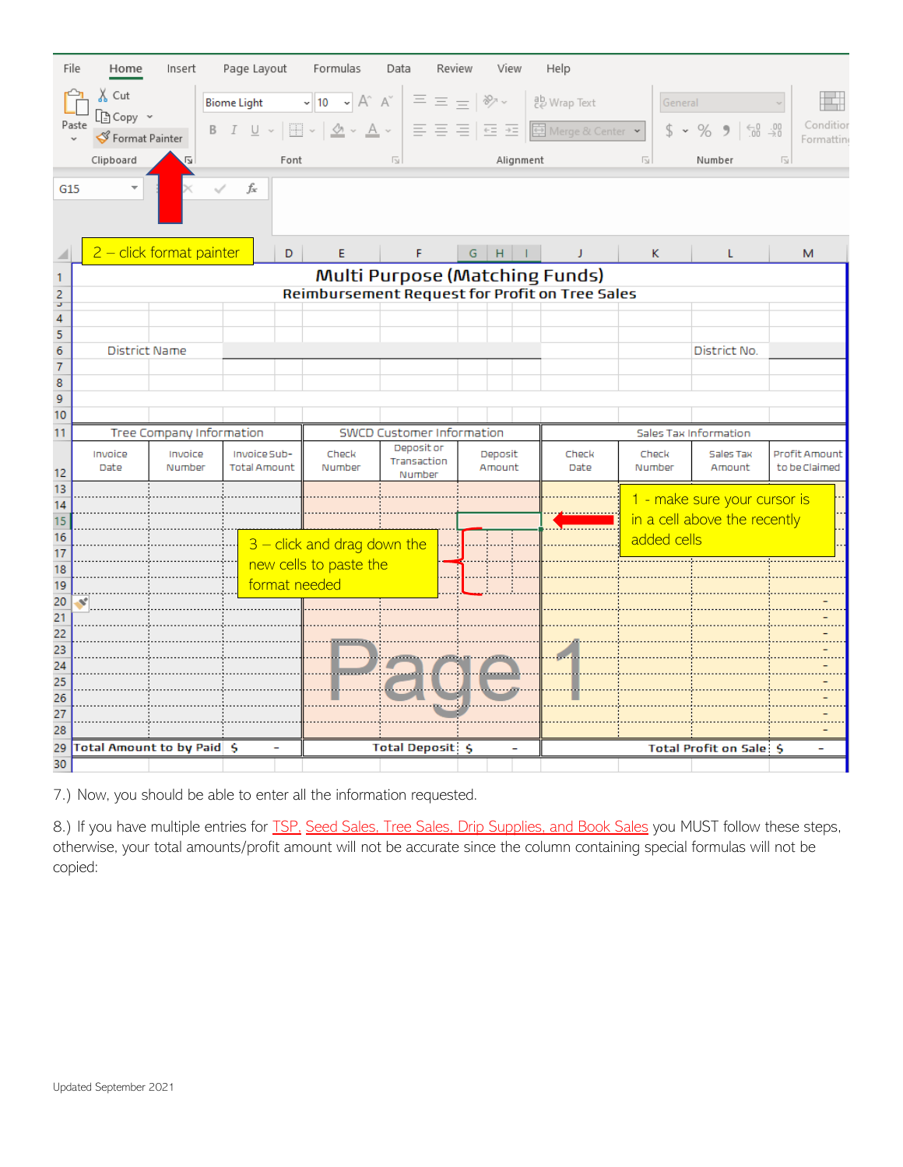| File                | Home                                              | Insert                     | Page Layout                              |      | Formulas                                                                                                                                      | Data                    | Review                           |               | View          |  | Help                                           |                         |             |                                                                                             |                         |                       |
|---------------------|---------------------------------------------------|----------------------------|------------------------------------------|------|-----------------------------------------------------------------------------------------------------------------------------------------------|-------------------------|----------------------------------|---------------|---------------|--|------------------------------------------------|-------------------------|-------------|---------------------------------------------------------------------------------------------|-------------------------|-----------------------|
|                     | $\chi$ Cut<br>凸 Copy ~<br>Paste<br>Format Painter |                            | <b>Biome Light</b><br>$B$ $I$ $U$ $\sim$ |      | $\sim$ 10 $\sim$ A <sup><math>\sim</math></sup> A <sup><math>\sim</math></sup><br>$\frac{A}{2}$ $\sim$ $\frac{A}{2}$ $\sim$<br>$\mathbb{H}$ - |                         | $\Xi \equiv \pm 12$<br>트 프 트 트 프 |               |               |  | ゃ Wrap Text<br>国 Merge & Center •              |                         | General     | $\substack{<\\-0\\0\end{array}\, \substack{.00\\0\\0\end{subarray}$<br>$$ 8 \times \%$<br>, |                         | Conditio<br>Formattin |
|                     | Clipboard                                         |                            |                                          | Font |                                                                                                                                               | $\overline{\mathbb{N}}$ |                                  |               | Alignment     |  |                                                | $\overline{\mathbb{N}}$ |             | Number                                                                                      | $\overline{\mathbb{N}}$ |                       |
| G15                 |                                                   |                            | fx                                       |      |                                                                                                                                               |                         |                                  |               |               |  |                                                |                         |             |                                                                                             |                         |                       |
|                     |                                                   |                            |                                          |      |                                                                                                                                               |                         |                                  |               |               |  |                                                |                         |             |                                                                                             |                         |                       |
|                     |                                                   | $2$ – click format painter |                                          | D    | E                                                                                                                                             | F                       |                                  | ${\mathsf G}$ | $H$ $1$       |  | J                                              |                         | κ           | L                                                                                           |                         | М                     |
| 1                   |                                                   |                            |                                          |      |                                                                                                                                               |                         |                                  |               |               |  | Multi Purpose (Matching Funds)                 |                         |             |                                                                                             |                         |                       |
| $\frac{2}{3}$       |                                                   |                            |                                          |      |                                                                                                                                               |                         |                                  |               |               |  | Reimbursement Request for Profit on Tree Sales |                         |             |                                                                                             |                         |                       |
| $\overline{4}$      |                                                   |                            |                                          |      |                                                                                                                                               |                         |                                  |               |               |  |                                                |                         |             |                                                                                             |                         |                       |
| $\overline{5}$      |                                                   |                            |                                          |      |                                                                                                                                               |                         |                                  |               |               |  |                                                |                         |             |                                                                                             |                         |                       |
| 6                   |                                                   | District Name              |                                          |      |                                                                                                                                               |                         |                                  |               |               |  |                                                |                         |             | District No.                                                                                |                         |                       |
| $\overline{7}$<br>8 |                                                   |                            |                                          |      |                                                                                                                                               |                         |                                  |               |               |  |                                                |                         |             |                                                                                             |                         |                       |
| 9                   |                                                   |                            |                                          |      |                                                                                                                                               |                         |                                  |               |               |  |                                                |                         |             |                                                                                             |                         |                       |
| 10                  |                                                   |                            |                                          |      |                                                                                                                                               |                         |                                  |               |               |  |                                                |                         |             |                                                                                             |                         |                       |
| 11                  |                                                   | Tree Company Information   |                                          |      | <b>SWCD Customer Information</b>                                                                                                              |                         |                                  |               |               |  |                                                | Sales Tax Information   |             |                                                                                             |                         |                       |
| 12                  | Invoice<br>Date                                   | Invoice<br>Number          | Invoice Sub-<br><b>Total Amount</b>      |      | Deposit or<br>Deposit<br>Check<br>Transaction<br>Number<br>Amount<br>Number                                                                   |                         |                                  |               | Check<br>Date |  | Check<br>Number                                | Sales Tax<br>Amount     |             | Profit Amount<br>to be Claimed                                                              |                         |                       |
| 13                  |                                                   |                            |                                          |      |                                                                                                                                               |                         |                                  |               |               |  |                                                |                         |             | 1 - make sure your cursor is                                                                |                         |                       |
| 14<br>15            |                                                   |                            |                                          |      |                                                                                                                                               |                         |                                  |               |               |  |                                                |                         |             | in a cell above the recently                                                                |                         |                       |
| 16                  |                                                   |                            |                                          |      |                                                                                                                                               |                         |                                  |               |               |  |                                                |                         | added cells |                                                                                             |                         |                       |
| 17                  |                                                   |                            |                                          |      | $3$ – click and drag down the                                                                                                                 |                         |                                  |               |               |  |                                                |                         |             |                                                                                             |                         |                       |
| 18                  |                                                   |                            |                                          |      | new cells to paste the                                                                                                                        |                         |                                  |               |               |  |                                                |                         |             |                                                                                             |                         |                       |
| 19<br>20            |                                                   |                            |                                          |      | format needed                                                                                                                                 |                         |                                  |               |               |  |                                                |                         |             |                                                                                             |                         |                       |
| $\overline{21}$     | ×                                                 |                            |                                          |      |                                                                                                                                               |                         |                                  |               |               |  |                                                |                         |             |                                                                                             |                         |                       |
| 22                  |                                                   |                            |                                          |      |                                                                                                                                               |                         |                                  |               |               |  |                                                |                         |             |                                                                                             |                         |                       |
| 23                  |                                                   |                            |                                          |      |                                                                                                                                               |                         |                                  |               |               |  |                                                |                         |             |                                                                                             |                         |                       |
| $\overline{24}$     |                                                   |                            |                                          |      |                                                                                                                                               |                         |                                  |               |               |  |                                                |                         |             |                                                                                             |                         |                       |
| 25<br>26            |                                                   |                            |                                          |      |                                                                                                                                               |                         |                                  |               |               |  |                                                |                         |             |                                                                                             |                         |                       |
| 27                  |                                                   |                            |                                          |      |                                                                                                                                               |                         |                                  |               |               |  |                                                |                         |             |                                                                                             |                         |                       |
| 28                  |                                                   |                            |                                          |      |                                                                                                                                               |                         |                                  |               |               |  |                                                |                         |             |                                                                                             |                         |                       |
| 29                  |                                                   | Total Amount to by Paid \$ |                                          | ۰    |                                                                                                                                               | Total Deposit: \$       |                                  |               | ÷             |  |                                                |                         |             | Total Profit on Sale: \$                                                                    |                         | Ξ.                    |
| 30                  |                                                   |                            |                                          |      |                                                                                                                                               |                         |                                  |               |               |  |                                                |                         |             |                                                                                             |                         |                       |

7.) Now, you should be able to enter all the information requested.

8.) If you have multiple entries for **TSP**, Seed Sales, Tree Sales, Drip Supplies, and Book Sales you MUST follow these steps, otherwise, your total amounts/profit amount will not be accurate since the column containing special formulas will not be copied: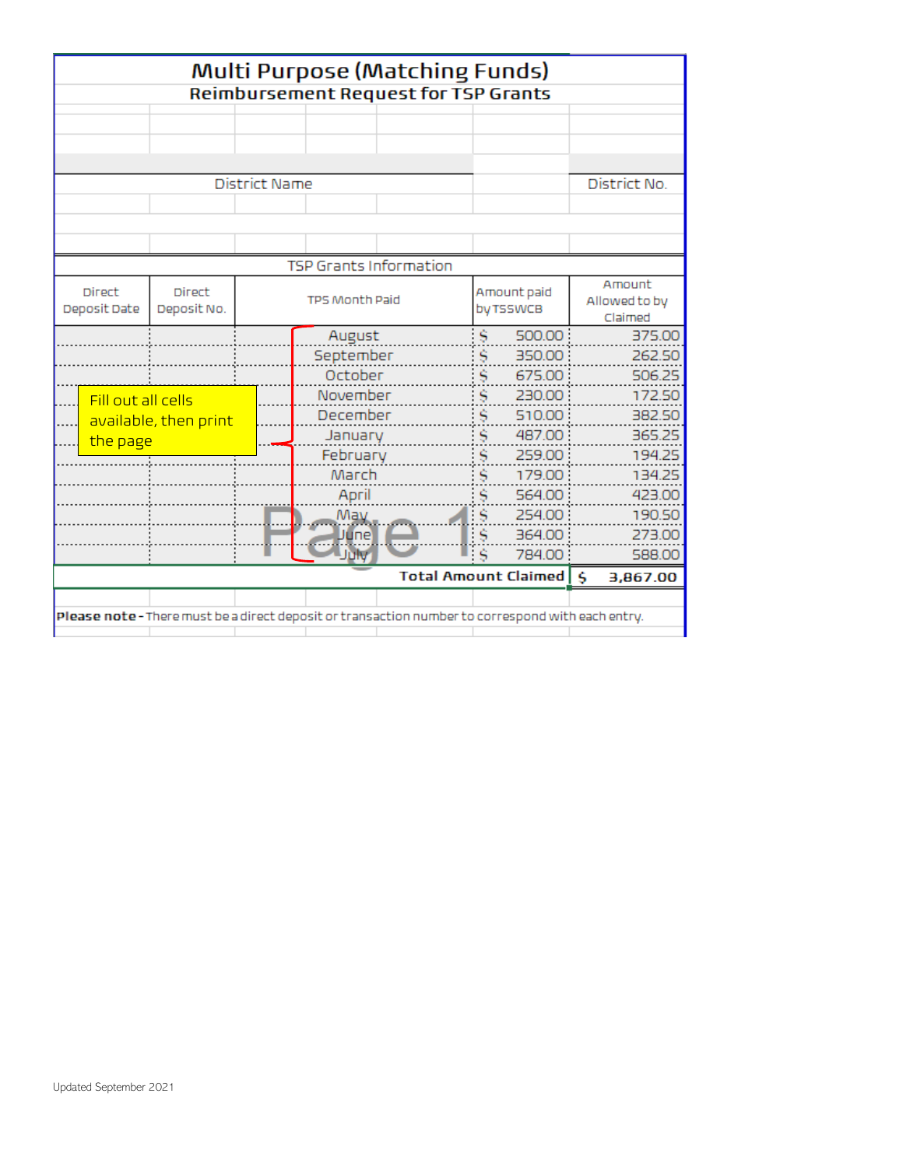| Multi Purpose (Matching Funds)<br><b>Reimbursement Request for TSP Grants</b> |                              |                      |                |                                                                                                   |    |                          |               |          |  |  |  |  |  |
|-------------------------------------------------------------------------------|------------------------------|----------------------|----------------|---------------------------------------------------------------------------------------------------|----|--------------------------|---------------|----------|--|--|--|--|--|
|                                                                               |                              |                      |                |                                                                                                   |    |                          |               |          |  |  |  |  |  |
|                                                                               |                              |                      |                |                                                                                                   |    |                          |               |          |  |  |  |  |  |
|                                                                               |                              |                      |                |                                                                                                   |    |                          |               |          |  |  |  |  |  |
|                                                                               |                              |                      |                |                                                                                                   |    |                          |               |          |  |  |  |  |  |
|                                                                               |                              | District No.         |                |                                                                                                   |    |                          |               |          |  |  |  |  |  |
|                                                                               |                              | <b>District Name</b> |                |                                                                                                   |    |                          |               |          |  |  |  |  |  |
|                                                                               |                              |                      |                |                                                                                                   |    |                          |               |          |  |  |  |  |  |
|                                                                               |                              |                      |                |                                                                                                   |    |                          |               |          |  |  |  |  |  |
| <b>TSP Grants Information</b>                                                 |                              |                      |                |                                                                                                   |    |                          |               |          |  |  |  |  |  |
| <b>Direct</b>                                                                 |                              | Amount               |                |                                                                                                   |    |                          |               |          |  |  |  |  |  |
| Deposit Date                                                                  | <b>Direct</b><br>Deposit No. |                      | TPS Month Paid |                                                                                                   |    | Amount paid<br>by TSSWCB | Allowed to by |          |  |  |  |  |  |
|                                                                               |                              |                      |                |                                                                                                   |    |                          |               | Claimed  |  |  |  |  |  |
|                                                                               |                              |                      | August         |                                                                                                   | Š  | 500.00                   |               | 375.00   |  |  |  |  |  |
|                                                                               |                              |                      | September      |                                                                                                   | Š  | 350.00                   |               | 262.50   |  |  |  |  |  |
|                                                                               |                              |                      | October        |                                                                                                   | \$ | 675.00                   |               | 506.25   |  |  |  |  |  |
| Fill out all cells                                                            |                              |                      | November       |                                                                                                   | Š  | 230.00                   |               | 172.50   |  |  |  |  |  |
|                                                                               | available, then print        |                      | December       |                                                                                                   | Š  | 510.00:                  |               | 382.50   |  |  |  |  |  |
| the page                                                                      |                              |                      | January        |                                                                                                   | Š  | 487.00                   |               | 365.25   |  |  |  |  |  |
|                                                                               |                              |                      | February       |                                                                                                   | Š  | 259.00                   |               | 194.25   |  |  |  |  |  |
|                                                                               |                              |                      | March          |                                                                                                   | Š  | 179.00                   |               | 134.25   |  |  |  |  |  |
|                                                                               |                              |                      | April          |                                                                                                   |    | 564.00                   |               | 423.00   |  |  |  |  |  |
|                                                                               |                              |                      | May            |                                                                                                   | \$ | 254.00                   |               | 190.50   |  |  |  |  |  |
|                                                                               |                              |                      | Uune           |                                                                                                   |    | 364.00                   |               | 273.00   |  |  |  |  |  |
|                                                                               |                              |                      | July           |                                                                                                   |    | 784.00                   |               | 588.00   |  |  |  |  |  |
|                                                                               |                              |                      |                | Total Amount Claimed   \$                                                                         |    |                          |               | 3,867.00 |  |  |  |  |  |
|                                                                               |                              |                      |                |                                                                                                   |    |                          |               |          |  |  |  |  |  |
|                                                                               |                              |                      |                | Please note - There must be a direct deposit or transaction number to correspond with each entry. |    |                          |               |          |  |  |  |  |  |
|                                                                               |                              |                      |                |                                                                                                   |    |                          |               |          |  |  |  |  |  |